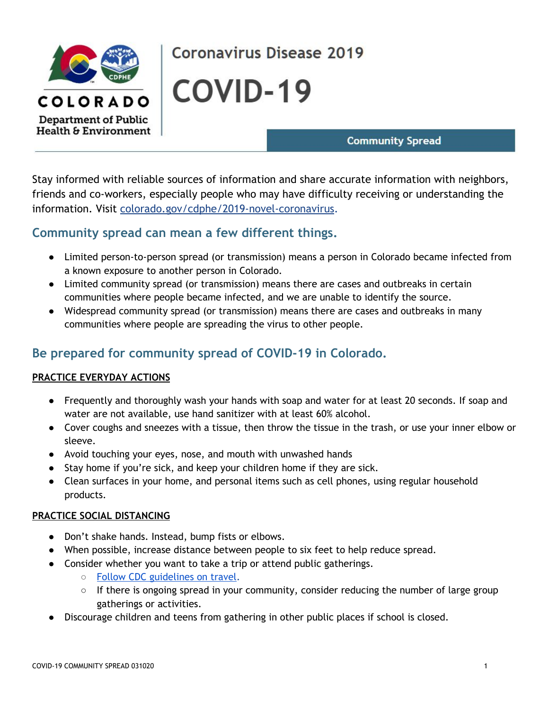

# **Coronavirus Disease 2019**

**COVID-19** 

## **Community Spread**

Stay informed with reliable sources of information and share accurate information with neighbors, friends and co-workers, especially people who may have difficulty receiving or understanding the information. Visit [colorado.gov/cdphe/2019-novel-coronavirus.](https://www.colorado.gov/pacific/cdphe/2019-novel-coronavirus)

## **Community spread can mean a few different things.**

- Limited person-to-person spread (or transmission) means a person in Colorado became infected from a known exposure to another person in Colorado.
- Limited community spread (or transmission) means there are cases and outbreaks in certain communities where people became infected, and we are unable to identify the source.
- Widespread community spread (or transmission) means there are cases and outbreaks in many communities where people are spreading the virus to other people.

# **Be prepared for community spread of COVID-19 in Colorado.**

### **PRACTICE EVERYDAY ACTIONS**

- Frequently and thoroughly wash your hands with soap and water for at least 20 seconds. If soap and water are not available, use hand sanitizer with at least 60% alcohol.
- Cover coughs and sneezes with a tissue, then throw the tissue in the trash, or use your inner elbow or sleeve.
- Avoid touching your eyes, nose, and mouth with unwashed hands
- Stay home if you're sick, and keep your children home if they are sick.
- Clean surfaces in your home, and personal items such as cell phones, using regular household products.

### **PRACTICE SOCIAL DISTANCING**

- Don't shake hands. Instead, bump fists or elbows.
- When possible, increase distance between people to six feet to help reduce spread.
- Consider whether you want to take a trip or attend public gatherings.
	- Follow CDC [guidelines](https://www.cdc.gov/coronavirus/2019-ncov/travelers/index.html) on travel.
	- If there is ongoing spread in your community, consider reducing the number of large group gatherings or activities.
- Discourage children and teens from gathering in other public places if school is closed.